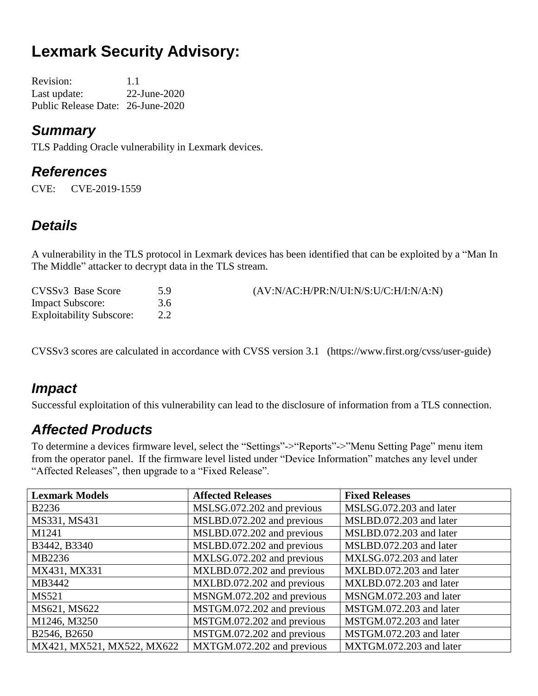# **Lexmark Security Advisory:**

Revision: 1.1 Last update: 22-June-2020 Public Release Date: 26-June-2020

#### *Summary*

TLS Padding Oracle vulnerability in Lexmark devices.

#### *References*

CVE: CVE-2019-1559

#### *Details*

A vulnerability in the TLS protocol in Lexmark devices has been identified that can be exploited by a "Man In The Middle" attacker to decrypt data in the TLS stream.

| CVSSv3 Base Score               | 5.9 | (AV:N/AC:H/PR:N/UI:N/S:U/C:H/I:N/A:N) |
|---------------------------------|-----|---------------------------------------|
| <b>Impact Subscore:</b>         | 3.6 |                                       |
| <b>Exploitability Subscore:</b> |     |                                       |

CVSSv3 scores are calculated in accordance with CVSS version 3.1 (https://www.first.org/cvss/user-guide)

### *Impact*

Successful exploitation of this vulnerability can lead to the disclosure of information from a TLS connection.

### *Affected Products*

To determine a devices firmware level, select the "Settings"->"Reports"->"Menu Setting Page" menu item from the operator panel. If the firmware level listed under "Device Information" matches any level under "Affected Releases", then upgrade to a "Fixed Release".

| <b>Lexmark Models</b>      | <b>Affected Releases</b>   | <b>Fixed Releases</b>   |
|----------------------------|----------------------------|-------------------------|
| <b>B2236</b>               | MSLSG.072.202 and previous | MSLSG.072.203 and later |
| MS331, MS431               | MSLBD.072.202 and previous | MSLBD.072.203 and later |
| M1241                      | MSLBD.072.202 and previous | MSLBD.072.203 and later |
| B3442, B3340               | MSLBD.072.202 and previous | MSLBD.072.203 and later |
| MB2236                     | MXLSG.072.202 and previous | MXLSG.072.203 and later |
| MX431, MX331               | MXLBD.072.202 and previous | MXLBD.072.203 and later |
| MB3442                     | MXLBD.072.202 and previous | MXLBD.072.203 and later |
| <b>MS521</b>               | MSNGM.072.202 and previous | MSNGM.072.203 and later |
| MS621, MS622               | MSTGM.072.202 and previous | MSTGM.072.203 and later |
| M1246, M3250               | MSTGM.072.202 and previous | MSTGM.072.203 and later |
| B2546, B2650               | MSTGM.072.202 and previous | MSTGM.072.203 and later |
| MX421, MX521, MX522, MX622 | MXTGM.072.202 and previous | MXTGM.072.203 and later |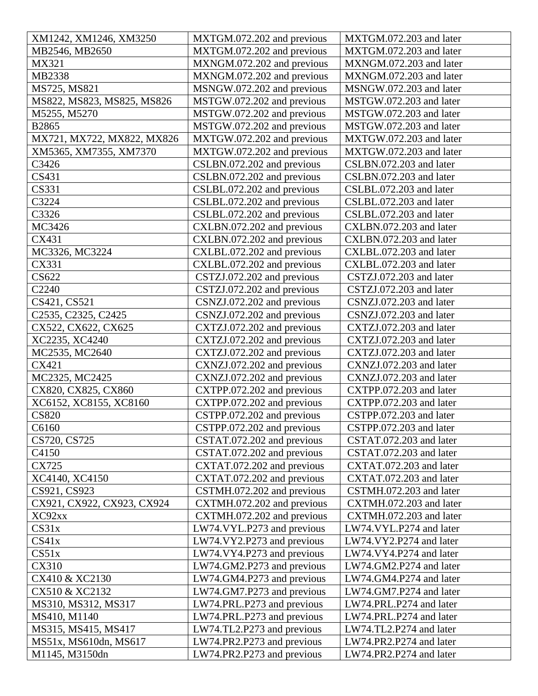| XM1242, XM1246, XM3250                                    | MXTGM.072.202 and previous | MXTGM.072.203 and later |
|-----------------------------------------------------------|----------------------------|-------------------------|
| MB2546, MB2650                                            | MXTGM.072.202 and previous | MXTGM.072.203 and later |
| MX321                                                     | MXNGM.072.202 and previous | MXNGM.072.203 and later |
| MB2338                                                    | MXNGM.072.202 and previous | MXNGM.072.203 and later |
| MS725, MS821                                              | MSNGW.072.202 and previous | MSNGW.072.203 and later |
| MS822, MS823, MS825, MS826                                | MSTGW.072.202 and previous | MSTGW.072.203 and later |
| M5255, M5270                                              | MSTGW.072.202 and previous | MSTGW.072.203 and later |
| <b>B2865</b>                                              | MSTGW.072.202 and previous | MSTGW.072.203 and later |
| MX721, MX722, MX822, MX826                                | MXTGW.072.202 and previous | MXTGW.072.203 and later |
| XM5365, XM7355, XM7370                                    | MXTGW.072.202 and previous | MXTGW.072.203 and later |
| C3426                                                     | CSLBN.072.202 and previous | CSLBN.072.203 and later |
| CS431                                                     | CSLBN.072.202 and previous | CSLBN.072.203 and later |
| CS331                                                     | CSLBL.072.202 and previous | CSLBL.072.203 and later |
| C3224                                                     | CSLBL.072.202 and previous | CSLBL.072.203 and later |
| C3326                                                     | CSLBL.072.202 and previous | CSLBL.072.203 and later |
| MC3426                                                    | CXLBN.072.202 and previous | CXLBN.072.203 and later |
| CX431                                                     | CXLBN.072.202 and previous | CXLBN.072.203 and later |
| MC3326, MC3224                                            | CXLBL.072.202 and previous | CXLBL.072.203 and later |
| CX331                                                     | CXLBL.072.202 and previous | CXLBL.072.203 and later |
| CS622                                                     | CSTZJ.072.202 and previous | CSTZJ.072.203 and later |
| C2240                                                     | CSTZJ.072.202 and previous | CSTZJ.072.203 and later |
| CS421, CS521                                              | CSNZJ.072.202 and previous | CSNZJ.072.203 and later |
| C <sub>2535</sub> , C <sub>2325</sub> , C <sub>2425</sub> | CSNZJ.072.202 and previous | CSNZJ.072.203 and later |
| CX522, CX622, CX625                                       | CXTZJ.072.202 and previous | CXTZJ.072.203 and later |
| XC2235, XC4240                                            | CXTZJ.072.202 and previous | CXTZJ.072.203 and later |
| MC2535, MC2640                                            | CXTZJ.072.202 and previous | CXTZJ.072.203 and later |
| CX421                                                     | CXNZJ.072.202 and previous | CXNZJ.072.203 and later |
| MC2325, MC2425                                            | CXNZJ.072.202 and previous | CXNZJ.072.203 and later |
| CX820, CX825, CX860                                       | CXTPP.072.202 and previous | CXTPP.072.203 and later |
| XC6152, XC8155, XC8160                                    | CXTPP.072.202 and previous | CXTPP.072.203 and later |
| <b>CS820</b>                                              | CSTPP.072.202 and previous | CSTPP.072.203 and later |
| C6160                                                     | CSTPP.072.202 and previous | CSTPP.072.203 and later |
| CS720, CS725                                              | CSTAT.072.202 and previous | CSTAT.072.203 and later |
| C4150                                                     | CSTAT.072.202 and previous | CSTAT.072.203 and later |
| CX725                                                     | CXTAT.072.202 and previous | CXTAT.072.203 and later |
| XC4140, XC4150                                            | CXTAT.072.202 and previous | CXTAT.072.203 and later |
| CS921, CS923                                              | CSTMH.072.202 and previous | CSTMH.072.203 and later |
| CX921, CX922, CX923, CX924                                | CXTMH.072.202 and previous | CXTMH.072.203 and later |
| XC92xx                                                    | CXTMH.072.202 and previous | CXTMH.072.203 and later |
| CS <sub>31x</sub>                                         | LW74.VYL.P273 and previous | LW74.VYL.P274 and later |
| CS41x                                                     | LW74.VY2.P273 and previous | LW74.VY2.P274 and later |
| CS51x                                                     | LW74.VY4.P273 and previous | LW74.VY4.P274 and later |
| CX310                                                     | LW74.GM2.P273 and previous | LW74.GM2.P274 and later |
| CX410 & XC2130                                            | LW74.GM4.P273 and previous | LW74.GM4.P274 and later |
| CX510 & XC2132                                            | LW74.GM7.P273 and previous | LW74.GM7.P274 and later |
| MS310, MS312, MS317                                       | LW74.PRL.P273 and previous | LW74.PRL.P274 and later |
| MS410, M1140                                              | LW74.PRL.P273 and previous | LW74.PRL.P274 and later |
| MS315, MS415, MS417                                       | LW74.TL2.P273 and previous | LW74.TL2.P274 and later |
| MS51x, MS610dn, MS617                                     | LW74.PR2.P273 and previous | LW74.PR2.P274 and later |
| M1145, M3150dn                                            | LW74.PR2.P273 and previous | LW74.PR2.P274 and later |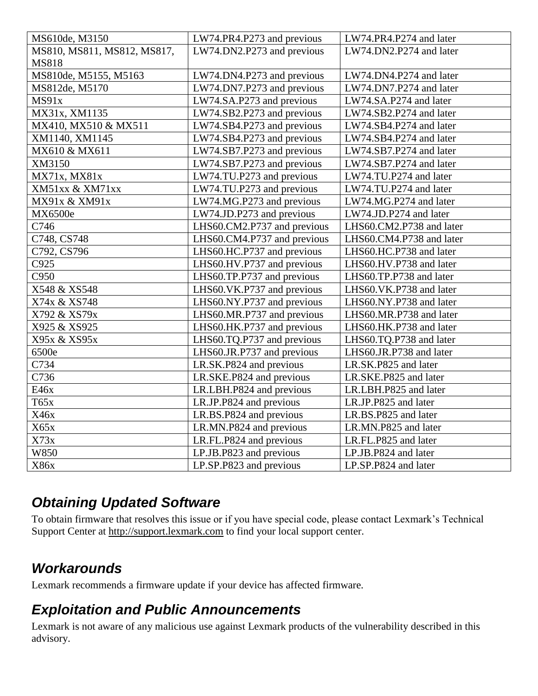| MS610de, M3150              | LW74.PR4.P273 and previous  | LW74.PR4.P274 and later  |
|-----------------------------|-----------------------------|--------------------------|
| MS810, MS811, MS812, MS817, | LW74.DN2.P273 and previous  | LW74.DN2.P274 and later  |
| <b>MS818</b>                |                             |                          |
| MS810de, M5155, M5163       | LW74.DN4.P273 and previous  | LW74.DN4.P274 and later  |
| MS812de, M5170              | LW74.DN7.P273 and previous  | LW74.DN7.P274 and later  |
| MS91x                       | LW74.SA.P273 and previous   | LW74.SA.P274 and later   |
| MX31x, XM1135               | LW74.SB2.P273 and previous  | LW74.SB2.P274 and later  |
| MX410, MX510 & MX511        | LW74.SB4.P273 and previous  | LW74.SB4.P274 and later  |
| XM1140, XM1145              | LW74.SB4.P273 and previous  | LW74.SB4.P274 and later  |
| MX610 & MX611               | LW74.SB7.P273 and previous  | LW74.SB7.P274 and later  |
| XM3150                      | LW74.SB7.P273 and previous  | LW74.SB7.P274 and later  |
| MX71x, MX81x                | LW74.TU.P273 and previous   | LW74.TU.P274 and later   |
| XM51xx & XM71xx             | LW74.TU.P273 and previous   | LW74.TU.P274 and later   |
| MX91x & XM91x               | LW74.MG.P273 and previous   | LW74.MG.P274 and later   |
| MX6500e                     | LW74.JD.P273 and previous   | LW74.JD.P274 and later   |
| C746                        | LHS60.CM2.P737 and previous | LHS60.CM2.P738 and later |
| C748, CS748                 | LHS60.CM4.P737 and previous | LHS60.CM4.P738 and later |
| C792, CS796                 | LHS60.HC.P737 and previous  | LHS60.HC.P738 and later  |
| C925                        | LHS60.HV.P737 and previous  | LHS60.HV.P738 and later  |
| C950                        | LHS60.TP.P737 and previous  | LHS60.TP.P738 and later  |
| X548 & XS548                | LHS60.VK.P737 and previous  | LHS60.VK.P738 and later  |
| X74x & XS748                | LHS60.NY.P737 and previous  | LHS60.NY.P738 and later  |
| X792 & XS79x                | LHS60.MR.P737 and previous  | LHS60.MR.P738 and later  |
| X925 & XS925                | LHS60.HK.P737 and previous  | LHS60.HK.P738 and later  |
| X95x & XS95x                | LHS60.TQ.P737 and previous  | LHS60.TQ.P738 and later  |
| 6500e                       | LHS60.JR.P737 and previous  | LHS60.JR.P738 and later  |
| C734                        | LR.SK.P824 and previous     | LR.SK.P825 and later     |
| C736                        | LR.SKE.P824 and previous    | LR.SKE.P825 and later    |
| E46x                        | LR.LBH.P824 and previous    | LR.LBH.P825 and later    |
| T65x                        | LR.JP.P824 and previous     | LR.JP.P825 and later     |
| X46x                        | LR.BS.P824 and previous     | LR.BS.P825 and later     |
| X65x                        | LR.MN.P824 and previous     | LR.MN.P825 and later     |
| X73x                        | LR.FL.P824 and previous     | LR.FL.P825 and later     |
| W850                        | LP.JB.P823 and previous     | LP.JB.P824 and later     |
| X86x                        | LP.SP.P823 and previous     | LP.SP.P824 and later     |

### *Obtaining Updated Software*

To obtain firmware that resolves this issue or if you have special code, please contact Lexmark's Technical Support Center at [http://support.lexmark.com](http://support.lexmark.com/) to find your local support center.

### *Workarounds*

Lexmark recommends a firmware update if your device has affected firmware.

#### *Exploitation and Public Announcements*

Lexmark is not aware of any malicious use against Lexmark products of the vulnerability described in this advisory.